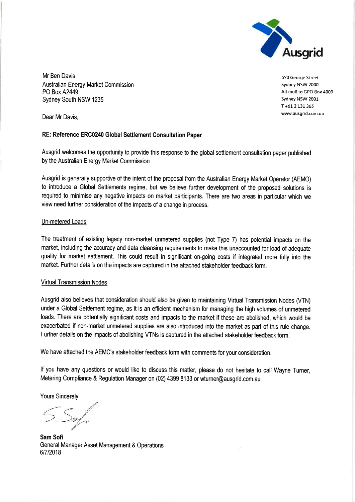

Mr Ben Davis Australian Energy Market Commission **PO Box A2449** Sydney South NSW 1235

570 George Street Sydney NSW 2000 All mail to GPO Box 4009 Sydney NSW 2001 T+61 2 131 365 www.ausgrid.com.au

Dear Mr Davis.

## RE: Reference ERC0240 Global Settlement Consultation Paper

Ausgrid welcomes the opportunity to provide this response to the global settlement consultation paper published by the Australian Energy Market Commission.

Ausgrid is generally supportive of the intent of the proposal from the Australian Energy Market Operator (AEMO) to introduce a Global Settlements regime, but we believe further development of the proposed solutions is required to minimise any negative impacts on market participants. There are two areas in particular which we view need further consideration of the impacts of a change in process.

## Un-metered Loads

The treatment of existing legacy non-market unmetered supplies (not Type 7) has potential impacts on the market, including the accuracy and data cleansing requirements to make this unaccounted for load of adequate quality for market settlement. This could result in significant on-going costs if integrated more fully into the market. Further details on the impacts are captured in the attached stakeholder feedback form.

## **Virtual Transmission Nodes**

Ausgrid also believes that consideration should also be given to maintaining Virtual Transmission Nodes (VTN) under a Global Settlement regime, as it is an efficient mechanism for managing the high volumes of unmetered loads. There are potentially significant costs and impacts to the market if these are abolished, which would be exacerbated if non-market unmetered supplies are also introduced into the market as part of this rule change. Further details on the impacts of abolishing VTNs is captured in the attached stakeholder feedback form.

We have attached the AEMC's stakeholder feedback form with comments for your consideration.

If you have any questions or would like to discuss this matter, please do not hesitate to call Wayne Turner, Metering Compliance & Regulation Manager on (02) 4399 8133 or wturner@ausgrid.com.au

**Yours Sincerely** 

o.

Sam Sofi General Manager Asset Management & Operations 6/7/2018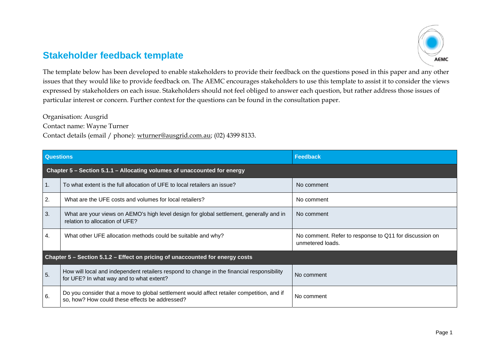## **Stakeholder feedback template**



The template below has been developed to enable stakeholders to provide their feedback on the questions posed in this paper and any other issues that they would like to provide feedback on. The AEMC encourages stakeholders to use this template to assist it to consider the views expressed by stakeholders on each issue. Stakeholders should not feel obliged to answer each question, but rather address those issues of particular interest or concern. Further context for the questions can be found in the consultation paper.

Organisation: Ausgrid

Contact name: Wayne Turner

Contact details (email / phone): wturner@ausgrid.com.au; (02) 4399 8133.

| <b>Questions</b>                                                              |                                                                                                                                              | Feedback                                                                   |  |
|-------------------------------------------------------------------------------|----------------------------------------------------------------------------------------------------------------------------------------------|----------------------------------------------------------------------------|--|
|                                                                               | Chapter 5 – Section 5.1.1 – Allocating volumes of unaccounted for energy                                                                     |                                                                            |  |
| $\mathbf{1}$ .                                                                | To what extent is the full allocation of UFE to local retailers an issue?                                                                    | No comment                                                                 |  |
| 2.                                                                            | What are the UFE costs and volumes for local retailers?                                                                                      | No comment                                                                 |  |
| 3.                                                                            | What are your views on AEMO's high level design for global settlement, generally and in<br>relation to allocation of UFE?                    | No comment                                                                 |  |
| 4.                                                                            | What other UFE allocation methods could be suitable and why?                                                                                 | No comment. Refer to response to Q11 for discussion on<br>unmetered loads. |  |
| Chapter 5 – Section 5.1.2 – Effect on pricing of unaccounted for energy costs |                                                                                                                                              |                                                                            |  |
| 5.                                                                            | How will local and independent retailers respond to change in the financial responsibility<br>for UFE? In what way and to what extent?       | No comment                                                                 |  |
| 6.                                                                            | Do you consider that a move to global settlement would affect retailer competition, and if<br>so, how? How could these effects be addressed? | No comment                                                                 |  |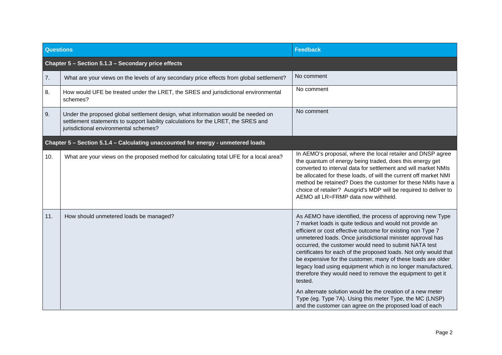| <b>Questions</b>                                                                 |                                                                                                                                                                                                                 | <b>Feedback</b>                                                                                                                                                                                                                                                                                                                                                                                                                                                                                                                                                                                                                                                                                                                                                                 |  |
|----------------------------------------------------------------------------------|-----------------------------------------------------------------------------------------------------------------------------------------------------------------------------------------------------------------|---------------------------------------------------------------------------------------------------------------------------------------------------------------------------------------------------------------------------------------------------------------------------------------------------------------------------------------------------------------------------------------------------------------------------------------------------------------------------------------------------------------------------------------------------------------------------------------------------------------------------------------------------------------------------------------------------------------------------------------------------------------------------------|--|
|                                                                                  | Chapter 5 - Section 5.1.3 - Secondary price effects                                                                                                                                                             |                                                                                                                                                                                                                                                                                                                                                                                                                                                                                                                                                                                                                                                                                                                                                                                 |  |
| 7.                                                                               | What are your views on the levels of any secondary price effects from global settlement?                                                                                                                        | No comment                                                                                                                                                                                                                                                                                                                                                                                                                                                                                                                                                                                                                                                                                                                                                                      |  |
| 8.                                                                               | How would UFE be treated under the LRET, the SRES and jurisdictional environmental<br>schemes?                                                                                                                  | No comment                                                                                                                                                                                                                                                                                                                                                                                                                                                                                                                                                                                                                                                                                                                                                                      |  |
| 9.                                                                               | Under the proposed global settlement design, what information would be needed on<br>settlement statements to support liability calculations for the LRET, the SRES and<br>jurisdictional environmental schemes? | No comment                                                                                                                                                                                                                                                                                                                                                                                                                                                                                                                                                                                                                                                                                                                                                                      |  |
| Chapter 5 - Section 5.1.4 - Calculating unaccounted for energy - unmetered loads |                                                                                                                                                                                                                 |                                                                                                                                                                                                                                                                                                                                                                                                                                                                                                                                                                                                                                                                                                                                                                                 |  |
| 10.                                                                              | What are your views on the proposed method for calculating total UFE for a local area?                                                                                                                          | In AEMO's proposal, where the local retailer and DNSP agree<br>the quantum of energy being traded, does this energy get<br>converted to interval data for settlement and will market NMIs<br>be allocated for these loads, of will the current off market NMI<br>method be retained? Does the customer for these NMIs have a<br>choice of retailer? Ausgrid's MDP will be required to deliver to<br>AEMO all LR=FRMP data now withheld.                                                                                                                                                                                                                                                                                                                                         |  |
| 11.                                                                              | How should unmetered loads be managed?                                                                                                                                                                          | As AEMO have identified, the process of approving new Type<br>7 market loads is quite tedious and would not provide an<br>efficient or cost effective outcome for existing non Type 7<br>unmetered loads. Once jurisdictional minister approval has<br>occurred, the customer would need to submit NATA test<br>certificates for each of the proposed loads. Not only would that<br>be expensive for the customer, many of these loads are older<br>legacy load using equipment which is no longer manufactured,<br>therefore they would need to remove the equipment to get it<br>tested.<br>An alternate solution would be the creation of a new meter<br>Type (eg. Type 7A). Using this meter Type, the MC (LNSP)<br>and the customer can agree on the proposed load of each |  |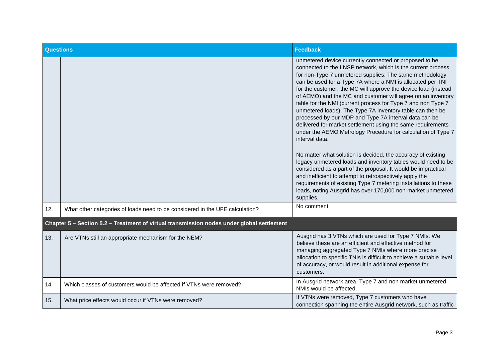| <b>Questions</b> |                                                                                           | <b>Feedback</b>                                                                                                                                                                                                                                                                                                                                                                                                                                                                                                                                                                                                                                                                                                                                                                                                                                                                                                                                                                                                                                                                                                                   |
|------------------|-------------------------------------------------------------------------------------------|-----------------------------------------------------------------------------------------------------------------------------------------------------------------------------------------------------------------------------------------------------------------------------------------------------------------------------------------------------------------------------------------------------------------------------------------------------------------------------------------------------------------------------------------------------------------------------------------------------------------------------------------------------------------------------------------------------------------------------------------------------------------------------------------------------------------------------------------------------------------------------------------------------------------------------------------------------------------------------------------------------------------------------------------------------------------------------------------------------------------------------------|
|                  |                                                                                           | unmetered device currently connected or proposed to be<br>connected to the LNSP network, which is the current process<br>for non-Type 7 unmetered supplies. The same methodology<br>can be used for a Type 7A where a NMI is allocated per TNI<br>for the customer, the MC will approve the device load (instead<br>of AEMO) and the MC and customer will agree on an inventory<br>table for the NMI (current process for Type 7 and non Type 7<br>unmetered loads). The Type 7A inventory table can then be<br>processed by our MDP and Type 7A interval data can be<br>delivered for market settlement using the same requirements<br>under the AEMO Metrology Procedure for calculation of Type 7<br>interval data.<br>No matter what solution is decided, the accuracy of existing<br>legacy unmetered loads and inventory tables would need to be<br>considered as a part of the proposal. It would be impractical<br>and inefficient to attempt to retrospectively apply the<br>requirements of existing Type 7 metering installations to these<br>loads, noting Ausgrid has over 170,000 non-market unmetered<br>supplies. |
| 12.              | What other categories of loads need to be considered in the UFE calculation?              | No comment                                                                                                                                                                                                                                                                                                                                                                                                                                                                                                                                                                                                                                                                                                                                                                                                                                                                                                                                                                                                                                                                                                                        |
|                  | Chapter 5 - Section 5.2 - Treatment of virtual transmission nodes under global settlement |                                                                                                                                                                                                                                                                                                                                                                                                                                                                                                                                                                                                                                                                                                                                                                                                                                                                                                                                                                                                                                                                                                                                   |
| 13.              | Are VTNs still an appropriate mechanism for the NEM?                                      | Ausgrid has 3 VTNs which are used for Type 7 NMIs. We<br>believe these are an efficient and effective method for<br>managing aggregated Type 7 NMIs where more precise<br>allocation to specific TNIs is difficult to achieve a suitable level<br>of accuracy, or would result in additional expense for<br>customers.                                                                                                                                                                                                                                                                                                                                                                                                                                                                                                                                                                                                                                                                                                                                                                                                            |
| 14.              | Which classes of customers would be affected if VTNs were removed?                        | In Ausgrid network area, Type 7 and non market unmetered<br>NMIs would be affected.                                                                                                                                                                                                                                                                                                                                                                                                                                                                                                                                                                                                                                                                                                                                                                                                                                                                                                                                                                                                                                               |
| 15.              | What price effects would occur if VTNs were removed?                                      | If VTNs were removed, Type 7 customers who have<br>connection spanning the entire Ausgrid network, such as traffic                                                                                                                                                                                                                                                                                                                                                                                                                                                                                                                                                                                                                                                                                                                                                                                                                                                                                                                                                                                                                |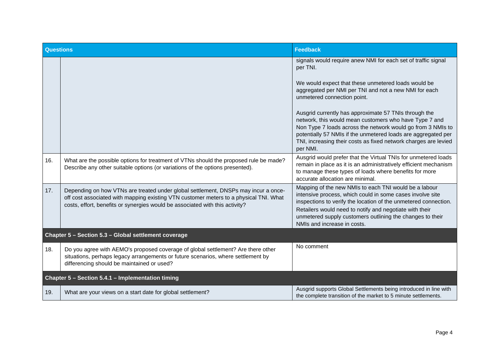| <b>Questions</b>                                     |                                                                                                                                                                                                                                                             | <b>Feedback</b>                                                                                                                                                                                                                                                                                                                              |
|------------------------------------------------------|-------------------------------------------------------------------------------------------------------------------------------------------------------------------------------------------------------------------------------------------------------------|----------------------------------------------------------------------------------------------------------------------------------------------------------------------------------------------------------------------------------------------------------------------------------------------------------------------------------------------|
|                                                      |                                                                                                                                                                                                                                                             | signals would require anew NMI for each set of traffic signal<br>per TNI.                                                                                                                                                                                                                                                                    |
|                                                      |                                                                                                                                                                                                                                                             | We would expect that these unmetered loads would be<br>aggregated per NMI per TNI and not a new NMI for each<br>unmetered connection point.                                                                                                                                                                                                  |
|                                                      |                                                                                                                                                                                                                                                             | Ausgrid currently has approximate 57 TNIs through the<br>network, this would mean customers who have Type 7 and<br>Non Type 7 loads across the network would go from 3 NMIs to<br>potentially 57 NMIs if the unmetered loads are aggregated per<br>TNI, increasing their costs as fixed network charges are levied<br>per NMI.               |
| 16.                                                  | What are the possible options for treatment of VTNs should the proposed rule be made?<br>Describe any other suitable options (or variations of the options presented).                                                                                      | Ausgrid would prefer that the Virtual TNIs for unmetered loads<br>remain in place as it is an administratively efficient mechanism<br>to manage these types of loads where benefits for more<br>accurate allocation are minimal.                                                                                                             |
| 17.                                                  | Depending on how VTNs are treated under global settlement, DNSPs may incur a once-<br>off cost associated with mapping existing VTN customer meters to a physical TNI. What<br>costs, effort, benefits or synergies would be associated with this activity? | Mapping of the new NMIs to each TNI would be a labour<br>intensive process, which could in some cases involve site<br>inspections to verify the location of the unmetered connection.<br>Retailers would need to notify and negotiate with their<br>unmetered supply customers outlining the changes to their<br>NMIs and increase in costs. |
| Chapter 5 - Section 5.3 - Global settlement coverage |                                                                                                                                                                                                                                                             |                                                                                                                                                                                                                                                                                                                                              |
| 18.                                                  | Do you agree with AEMO's proposed coverage of global settlement? Are there other<br>situations, perhaps legacy arrangements or future scenarios, where settlement by<br>differencing should be maintained or used?                                          | No comment                                                                                                                                                                                                                                                                                                                                   |
| Chapter 5 - Section 5.4.1 - Implementation timing    |                                                                                                                                                                                                                                                             |                                                                                                                                                                                                                                                                                                                                              |
| 19.                                                  | What are your views on a start date for global settlement?                                                                                                                                                                                                  | Ausgrid supports Global Settlements being introduced in line with<br>the complete transition of the market to 5 minute settlements.                                                                                                                                                                                                          |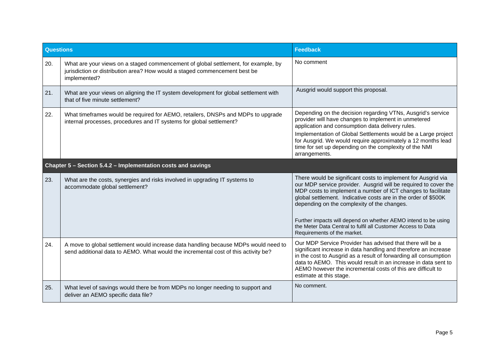| <b>Questions</b>                                             |                                                                                                                                                                                  | <b>Feedback</b>                                                                                                                                                                                                                                                                                                                                                                                                                                     |
|--------------------------------------------------------------|----------------------------------------------------------------------------------------------------------------------------------------------------------------------------------|-----------------------------------------------------------------------------------------------------------------------------------------------------------------------------------------------------------------------------------------------------------------------------------------------------------------------------------------------------------------------------------------------------------------------------------------------------|
| 20.                                                          | What are your views on a staged commencement of global settlement, for example, by<br>jurisdiction or distribution area? How would a staged commencement best be<br>implemented? | No comment                                                                                                                                                                                                                                                                                                                                                                                                                                          |
| 21.                                                          | What are your views on aligning the IT system development for global settlement with<br>that of five minute settlement?                                                          | Ausgrid would support this proposal.                                                                                                                                                                                                                                                                                                                                                                                                                |
| 22.                                                          | What timeframes would be required for AEMO, retailers, DNSPs and MDPs to upgrade<br>internal processes, procedures and IT systems for global settlement?                         | Depending on the decision regarding VTNs, Ausgrid's service<br>provider will have changes to implement in unmetered<br>application and consumption data delivery rules.<br>Implementation of Global Settlements would be a Large project<br>for Ausgrid. We would require approximately a 12 months lead<br>time for set up depending on the complexity of the NMI<br>arrangements.                                                                 |
| Chapter 5 - Section 5.4.2 - Implementation costs and savings |                                                                                                                                                                                  |                                                                                                                                                                                                                                                                                                                                                                                                                                                     |
| 23.                                                          | What are the costs, synergies and risks involved in upgrading IT systems to<br>accommodate global settlement?                                                                    | There would be significant costs to implement for Ausgrid via<br>our MDP service provider. Ausgrid will be required to cover the<br>MDP costs to implement a number of ICT changes to facilitate<br>global settlement. Indicative costs are in the order of \$500K<br>depending on the complexity of the changes.<br>Further impacts will depend on whether AEMO intend to be using<br>the Meter Data Central to fulfil all Customer Access to Data |
|                                                              |                                                                                                                                                                                  | Requirements of the market.                                                                                                                                                                                                                                                                                                                                                                                                                         |
| 24.                                                          | A move to global settlement would increase data handling because MDPs would need to<br>send additional data to AEMO. What would the incremental cost of this activity be?        | Our MDP Service Provider has advised that there will be a<br>significant increase in data handling and therefore an increase<br>in the cost to Ausgrid as a result of forwarding all consumption<br>data to AEMO. This would result in an increase in data sent to<br>AEMO however the incremental costs of this are difficult to<br>estimate at this stage.                                                                                        |
| 25.                                                          | What level of savings would there be from MDPs no longer needing to support and<br>deliver an AEMO specific data file?                                                           | No comment.                                                                                                                                                                                                                                                                                                                                                                                                                                         |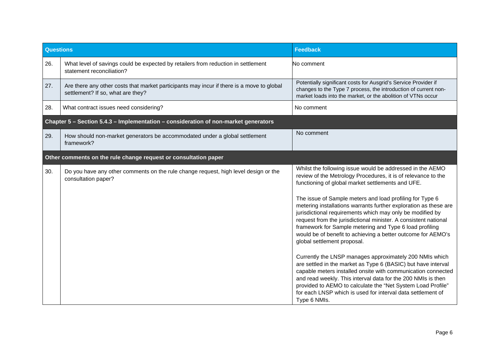| <b>Questions</b>                                                                    |                                                                                                                                | <b>Feedback</b>                                                                                                                                                                                                                                                                                                                                                                                                                                                                   |  |
|-------------------------------------------------------------------------------------|--------------------------------------------------------------------------------------------------------------------------------|-----------------------------------------------------------------------------------------------------------------------------------------------------------------------------------------------------------------------------------------------------------------------------------------------------------------------------------------------------------------------------------------------------------------------------------------------------------------------------------|--|
| 26.                                                                                 | What level of savings could be expected by retailers from reduction in settlement<br>statement reconciliation?                 | No comment                                                                                                                                                                                                                                                                                                                                                                                                                                                                        |  |
| 27.                                                                                 | Are there any other costs that market participants may incur if there is a move to global<br>settlement? If so, what are they? | Potentially significant costs for Ausgrid's Service Provider if<br>changes to the Type 7 process, the introduction of current non-<br>market loads into the market, or the abolition of VTNs occur                                                                                                                                                                                                                                                                                |  |
| 28.                                                                                 | What contract issues need considering?                                                                                         | No comment                                                                                                                                                                                                                                                                                                                                                                                                                                                                        |  |
| Chapter 5 - Section 5.4.3 - Implementation - consideration of non-market generators |                                                                                                                                |                                                                                                                                                                                                                                                                                                                                                                                                                                                                                   |  |
| 29.                                                                                 | How should non-market generators be accommodated under a global settlement<br>framework?                                       | No comment                                                                                                                                                                                                                                                                                                                                                                                                                                                                        |  |
|                                                                                     | Other comments on the rule change request or consultation paper                                                                |                                                                                                                                                                                                                                                                                                                                                                                                                                                                                   |  |
| 30.                                                                                 | Do you have any other comments on the rule change request, high level design or the<br>consultation paper?                     | Whilst the following issue would be addressed in the AEMO<br>review of the Metrology Procedures, it is of relevance to the<br>functioning of global market settlements and UFE.                                                                                                                                                                                                                                                                                                   |  |
|                                                                                     |                                                                                                                                | The issue of Sample meters and load profiling for Type 6<br>metering installations warrants further exploration as these are<br>jurisdictional requirements which may only be modified by<br>request from the jurisdictional minister. A consistent national<br>framework for Sample metering and Type 6 load profiling<br>would be of benefit to achieving a better outcome for AEMO's<br>global settlement proposal.<br>Currently the LNSP manages approximately 200 NMIs which |  |
|                                                                                     |                                                                                                                                | are settled in the market as Type 6 (BASIC) but have interval<br>capable meters installed onsite with communication connected<br>and read weekly. This interval data for the 200 NMIs is then<br>provided to AEMO to calculate the "Net System Load Profile"<br>for each LNSP which is used for interval data settlement of<br>Type 6 NMIs.                                                                                                                                       |  |